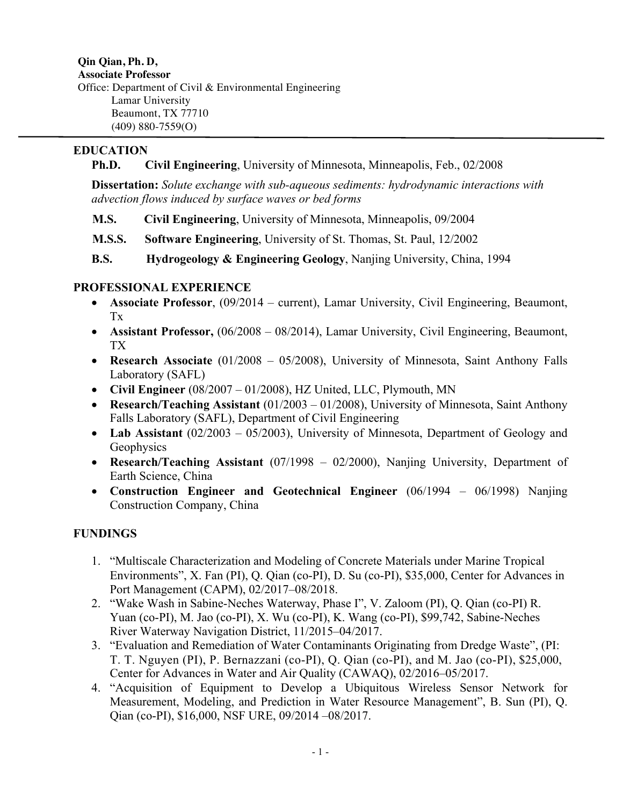**Qin Qian, Ph. D, Associate Professor** Office: Department of Civil & Environmental Engineering Lamar University Beaumont, TX 77710 (409) 880-7559(O)

# **EDUCATION**

 **Ph.D. Civil Engineering**, University of Minnesota, Minneapolis, Feb., 02/2008

**Dissertation:** *Solute exchange with sub-aqueous sediments: hydrodynamic interactions with advection flows induced by surface waves or bed forms*

 **M.S. Civil Engineering**, University of Minnesota, Minneapolis, 09/2004

- **M.S.S. Software Engineering**, University of St. Thomas, St. Paul, 12/2002
- **B.S. Hydrogeology & Engineering Geology**, Nanjing University, China, 1994

# **PROFESSIONAL EXPERIENCE**

- **Associate Professor**, (09/2014 current), Lamar University, Civil Engineering, Beaumont, Tx
- **Assistant Professor,** (06/2008 08/2014), Lamar University, Civil Engineering, Beaumont, TX
- **Research Associate** (01/2008 05/2008), University of Minnesota, Saint Anthony Falls Laboratory (SAFL)
- **Civil Engineer** (08/2007 01/2008), HZ United, LLC, Plymouth, MN
- **Research/Teaching Assistant** (01/2003 01/2008), University of Minnesota, Saint Anthony Falls Laboratory (SAFL), Department of Civil Engineering
- Lab Assistant (02/2003 05/2003), University of Minnesota, Department of Geology and **Geophysics**
- **Research/Teaching Assistant** (07/1998 02/2000), Nanjing University, Department of Earth Science, China
- **Construction Engineer and Geotechnical Engineer** (06/1994 06/1998) Nanjing Construction Company, China

# **FUNDINGS**

- 1. "Multiscale Characterization and Modeling of Concrete Materials under Marine Tropical Environments", X. Fan (PI), Q. Qian (co-PI), D. Su (co-PI), \$35,000, Center for Advances in Port Management (CAPM), 02/2017–08/2018.
- 2. "Wake Wash in Sabine-Neches Waterway, Phase I", V. Zaloom (PI), Q. Qian (co-PI) R. Yuan (co-PI), M. Jao (co-PI), X. Wu (co-PI), K. Wang (co-PI), \$99,742, Sabine-Neches River Waterway Navigation District, 11/2015–04/2017.
- 3. "Evaluation and Remediation of Water Contaminants Originating from Dredge Waste", (PI: T. T. Nguyen (PI), P. Bernazzani (co-PI), Q. Qian (co-PI), and M. Jao (co-PI), \$25,000, Center for Advances in Water and Air Quality (CAWAQ), 02/2016–05/2017.
- 4. "Acquisition of Equipment to Develop a Ubiquitous Wireless Sensor Network for Measurement, Modeling, and Prediction in Water Resource Management", B. Sun (PI), Q. Qian (co-PI), \$16,000, NSF URE, 09/2014 –08/2017.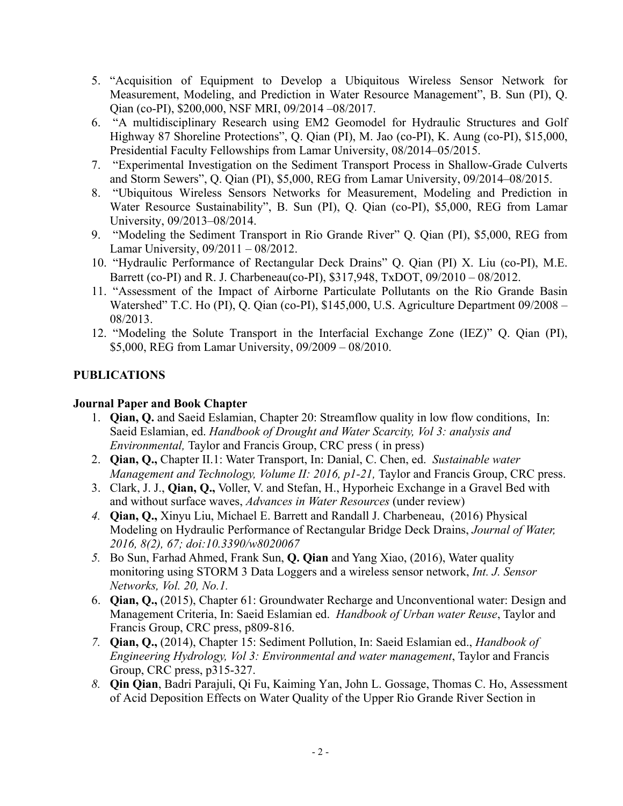- 5. "Acquisition of Equipment to Develop a Ubiquitous Wireless Sensor Network for Measurement, Modeling, and Prediction in Water Resource Management", B. Sun (PI), Q. Qian (co-PI), \$200,000, NSF MRI, 09/2014 –08/2017.
- 6. "A multidisciplinary Research using EM2 Geomodel for Hydraulic Structures and Golf Highway 87 Shoreline Protections", Q. Qian (PI), M. Jao (co-PI), K. Aung (co-PI), \$15,000, Presidential Faculty Fellowships from Lamar University, 08/2014–05/2015.
- 7. "Experimental Investigation on the Sediment Transport Process in Shallow-Grade Culverts and Storm Sewers", Q. Qian (PI), \$5,000, REG from Lamar University, 09/2014–08/2015.
- 8. "Ubiquitous Wireless Sensors Networks for Measurement, Modeling and Prediction in Water Resource Sustainability", B. Sun (PI), Q. Qian (co-PI), \$5,000, REG from Lamar University, 09/2013–08/2014.
- 9. "Modeling the Sediment Transport in Rio Grande River" Q. Qian (PI), \$5,000, REG from Lamar University, 09/2011 – 08/2012.
- 10. "Hydraulic Performance of Rectangular Deck Drains" Q. Qian (PI) X. Liu (co-PI), M.E. Barrett (co-PI) and R. J. Charbeneau(co-PI), \$317,948, TxDOT, 09/2010 – 08/2012.
- 11. "Assessment of the Impact of Airborne Particulate Pollutants on the Rio Grande Basin Watershed" T.C. Ho (PI), Q. Qian (co-PI), \$145,000, U.S. Agriculture Department 09/2008 – 08/2013.
- 12. "Modeling the Solute Transport in the Interfacial Exchange Zone (IEZ)" Q. Qian (PI), \$5,000, REG from Lamar University, 09/2009 – 08/2010.

### **PUBLICATIONS**

### **Journal Paper and Book Chapter**

- 1. **Qian, Q.** and Saeid Eslamian, Chapter 20: Streamflow quality in low flow conditions, In: Saeid Eslamian, ed. *Handbook of Drought and Water Scarcity, Vol 3: analysis and Environmental,* Taylor and Francis Group, CRC press ( in press)
- 2. **Qian, Q.,** Chapter II.1: Water Transport, In: Danial, C. Chen, ed. *Sustainable water Management and Technology, Volume II: 2016, p1-21, Taylor and Francis Group, CRC press.*
- 3. Clark, J. J., **Qian, Q.,** Voller, V. and Stefan, H., Hyporheic Exchange in a Gravel Bed with and without surface waves, *Advances in Water Resources* (under review)
- *4.* **Qian, Q.,** Xinyu Liu, Michael E. Barrett and Randall J. Charbeneau, (2016) Physical Modeling on Hydraulic Performance of Rectangular Bridge Deck Drains, *Journal of Water, 2016, 8(2), 67; doi:10.3390/w8020067*
- *5.* Bo Sun, Farhad Ahmed, Frank Sun, **Q. Qian** and Yang Xiao, (2016), Water quality monitoring using STORM 3 Data Loggers and a wireless sensor network, *Int. J. Sensor Networks, Vol. 20, No.1.*
- 6. **Qian, Q.,** (2015), Chapter 61: Groundwater Recharge and Unconventional water: Design and Management Criteria, In: Saeid Eslamian ed. *Handbook of Urban water Reuse*, Taylor and Francis Group, CRC press, p809-816.
- *7.* **Qian, Q.,** (2014), Chapter 15: Sediment Pollution, In: Saeid Eslamian ed., *Handbook of Engineering Hydrology, Vol 3: Environmental and water management*, Taylor and Francis Group, CRC press, p315-327.
- *8.* **Qin Qian**, Badri Parajuli, Qi Fu, Kaiming Yan, John L. Gossage, Thomas C. Ho, Assessment of Acid Deposition Effects on Water Quality of the Upper Rio Grande River Section in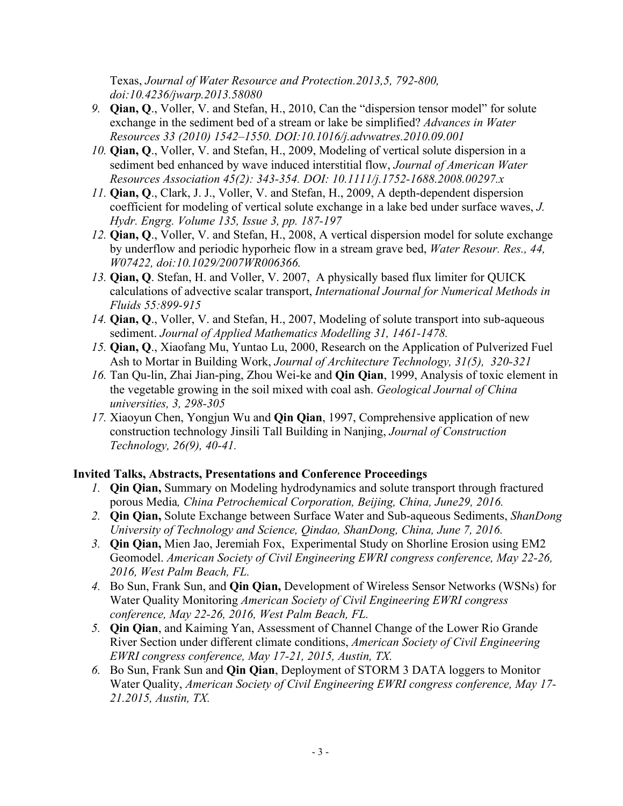Texas, *Journal of Water Resource and Protection.2013,5, 792-800, doi:10.4236/jwarp.2013.58080*

- *9.* **Qian, Q**., Voller, V. and Stefan, H., 2010, Can the "dispersion tensor model" for solute exchange in the sediment bed of a stream or lake be simplified? *Advances in Water Resources 33 (2010) 1542–1550. DOI:10.1016/j.advwatres.2010.09.001*
- *10.* **Qian, Q**., Voller, V. and Stefan, H., 2009, Modeling of vertical solute dispersion in a sediment bed enhanced by wave induced interstitial flow, *Journal of American Water Resources Association 45(2): 343-354. DOI: 10.1111/j.1752-1688.2008.00297.x*
- *11.* **Qian, Q**., Clark, J. J., Voller, V. and Stefan, H., 2009, A depth-dependent dispersion coefficient for modeling of vertical solute exchange in a lake bed under surface waves, *J. Hydr. Engrg. Volume 135, Issue 3, pp. 187-197*
- *12.* **Qian, Q**., Voller, V. and Stefan, H., 2008, A vertical dispersion model for solute exchange by underflow and periodic hyporheic flow in a stream grave bed, *Water Resour. Res., 44, W07422, doi:10.1029/2007WR006366.*
- *13.* **Qian, Q**. Stefan, H. and Voller, V. 2007, A physically based flux limiter for QUICK calculations of advective scalar transport, *International Journal for Numerical Methods in Fluids 55:899-915*
- *14.* **Qian, Q**., Voller, V. and Stefan, H., 2007, Modeling of solute transport into sub-aqueous sediment. *Journal of Applied Mathematics Modelling 31, 1461-1478.*
- *15.* **Qian, Q**., Xiaofang Mu, Yuntao Lu, 2000, Research on the Application of Pulverized Fuel Ash to Mortar in Building Work, *Journal of Architecture Technology, 31(5), 320-321*
- *16.* Tan Qu-lin, Zhai Jian-ping, Zhou Wei-ke and **Qin Qian**, 1999, Analysis of toxic element in the vegetable growing in the soil mixed with coal ash. *Geological Journal of China universities, 3, 298-305*
- *17.* Xiaoyun Chen, Yongjun Wu and **Qin Qian**, 1997, Comprehensive application of new construction technology Jinsili Tall Building in Nanjing, *Journal of Construction Technology, 26(9), 40-41.*

#### **Invited Talks, Abstracts, Presentations and Conference Proceedings**

- *1.* **Qin Qian,** Summary on Modeling hydrodynamics and solute transport through fractured porous Media*, China Petrochemical Corporation, Beijing, China, June29, 2016.*
- *2.* **Qin Qian,** Solute Exchange between Surface Water and Sub-aqueous Sediments, *ShanDong University of Technology and Science, Qindao, ShanDong, China, June 7, 2016.*
- *3.* **Qin Qian,** Mien Jao, Jeremiah Fox,Experimental Study on Shorline Erosion using EM2 Geomodel. *American Society of Civil Engineering EWRI congress conference, May 22-26, 2016, West Palm Beach, FL.*
- *4.* Bo Sun, Frank Sun, and **Qin Qian,** Development of Wireless Sensor Networks (WSNs) for Water Quality Monitoring *American Society of Civil Engineering EWRI congress conference, May 22-26, 2016, West Palm Beach, FL.*
- *5.* **Qin Qian**, and Kaiming Yan, Assessment of Channel Change of the Lower Rio Grande River Section under different climate conditions, *American Society of Civil Engineering EWRI congress conference, May 17-21, 2015, Austin, TX.*
- *6.* Bo Sun, Frank Sun and **Qin Qian**, Deployment of STORM 3 DATA loggers to Monitor Water Quality, *American Society of Civil Engineering EWRI congress conference, May 17- 21.2015, Austin, TX.*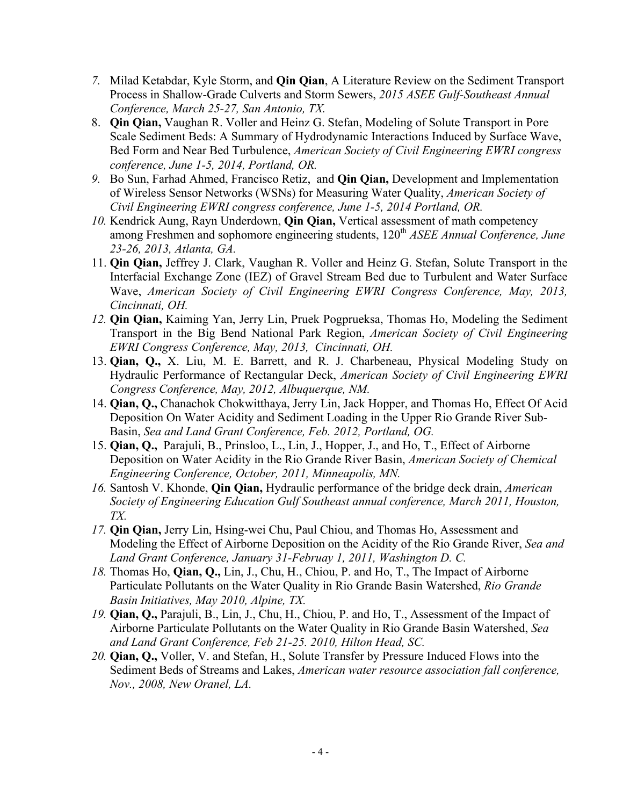- *7.* Milad Ketabdar, Kyle Storm, and **Qin Qian**, A Literature Review on the Sediment Transport Process in Shallow-Grade Culverts and Storm Sewers, *2015 ASEE Gulf-Southeast Annual Conference, March 25-27, San Antonio, TX.*
- 8. **Qin Qian,** Vaughan R. Voller and Heinz G. Stefan, Modeling of Solute Transport in Pore Scale Sediment Beds: A Summary of Hydrodynamic Interactions Induced by Surface Wave, Bed Form and Near Bed Turbulence, *American Society of Civil Engineering EWRI congress conference, June 1-5, 2014, Portland, OR.*
- *9.* Bo Sun, Farhad Ahmed, Francisco Retiz, and **Qin Qian,** Development and Implementation of Wireless Sensor Networks (WSNs) for Measuring Water Quality, *American Society of Civil Engineering EWRI congress conference, June 1-5, 2014 Portland, OR.*
- *10.* Kendrick Aung, Rayn Underdown, **Qin Qian,** Vertical assessment of math competency among Freshmen and sophomore engineering students, 120<sup>th</sup> *ASEE Annual Conference, June 23-26, 2013, Atlanta, GA.*
- 11. **Qin Qian,** Jeffrey J. Clark, Vaughan R. Voller and Heinz G. Stefan, Solute Transport in the Interfacial Exchange Zone (IEZ) of Gravel Stream Bed due to Turbulent and Water Surface Wave, *American Society of Civil Engineering EWRI Congress Conference, May, 2013, Cincinnati, OH.*
- *12.* **Qin Qian,** Kaiming Yan, Jerry Lin, Pruek Pogprueksa, Thomas Ho, Modeling the Sediment Transport in the Big Bend National Park Region, *American Society of Civil Engineering EWRI Congress Conference, May, 2013, Cincinnati, OH.*
- 13. **Qian, Q.,** X. Liu, M. E. Barrett, and R. J. Charbeneau, Physical Modeling Study on Hydraulic Performance of Rectangular Deck, *American Society of Civil Engineering EWRI Congress Conference, May, 2012, Albuquerque, NM.*
- 14. **Qian, Q.,** Chanachok Chokwitthaya, Jerry Lin, Jack Hopper, and Thomas Ho, Effect Of Acid Deposition On Water Acidity and Sediment Loading in the Upper Rio Grande River Sub-Basin, *Sea and Land Grant Conference, Feb. 2012, Portland, OG.*
- 15. **Qian, Q.,** Parajuli, B., Prinsloo, L., Lin, J., Hopper, J., and Ho, T., Effect of Airborne Deposition on Water Acidity in the Rio Grande River Basin, *American Society of Chemical Engineering Conference, October, 2011, Minneapolis, MN.*
- *16.* Santosh V. Khonde, **Qin Qian,** Hydraulic performance of the bridge deck drain, *American Society of Engineering Education Gulf Southeast annual conference, March 2011, Houston, TX.*
- *17.* **Qin Qian,** Jerry Lin, Hsing-wei Chu, Paul Chiou, and Thomas Ho, Assessment and Modeling the Effect of Airborne Deposition on the Acidity of the Rio Grande River, *Sea and Land Grant Conference, January 31-Februay 1, 2011, Washington D. C.*
- *18.* Thomas Ho, **Qian, Q.,** Lin, J., Chu, H., Chiou, P. and Ho, T., The Impact of Airborne Particulate Pollutants on the Water Quality in Rio Grande Basin Watershed, *Rio Grande Basin Initiatives, May 2010, Alpine, TX.*
- *19.* **Qian, Q.,** Parajuli, B., Lin, J., Chu, H., Chiou, P. and Ho, T., Assessment of the Impact of Airborne Particulate Pollutants on the Water Quality in Rio Grande Basin Watershed, *Sea and Land Grant Conference, Feb 21-25. 2010, Hilton Head, SC.*
- *20.* **Qian, Q.,** Voller, V. and Stefan, H., Solute Transfer by Pressure Induced Flows into the Sediment Beds of Streams and Lakes, *American water resource association fall conference, Nov., 2008, New Oranel, LA.*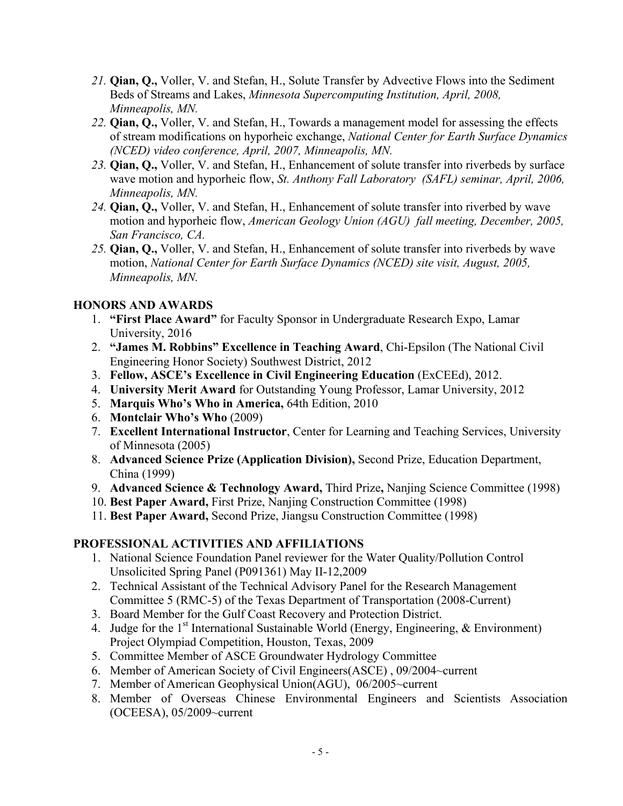- *21.* **Qian, Q.,** Voller, V. and Stefan, H., Solute Transfer by Advective Flows into the Sediment Beds of Streams and Lakes, *Minnesota Supercomputing Institution, April, 2008, Minneapolis, MN.*
- *22.* **Qian, Q.,** Voller, V. and Stefan, H., Towards a management model for assessing the effects of stream modifications on hyporheic exchange, *National Center for Earth Surface Dynamics (NCED) video conference, April, 2007, Minneapolis, MN.*
- *23.* **Qian, Q.,** Voller, V. and Stefan, H., Enhancement of solute transfer into riverbeds by surface wave motion and hyporheic flow, *St. Anthony Fall Laboratory (SAFL) seminar, April, 2006, Minneapolis, MN.*
- *24.* **Qian, Q.,** Voller, V. and Stefan, H., Enhancement of solute transfer into riverbed by wave motion and hyporheic flow, *American Geology Union (AGU) fall meeting, December, 2005, San Francisco, CA.*
- *25.* **Qian, Q.,** Voller, V. and Stefan, H., Enhancement of solute transfer into riverbeds by wave motion, *National Center for Earth Surface Dynamics (NCED) site visit, August, 2005, Minneapolis, MN.*

#### **HONORS AND AWARDS**

- 1. **"First Place Award"** for Faculty Sponsor in Undergraduate Research Expo, Lamar University, 2016
- 2. **"James M. Robbins" Excellence in Teaching Award**, Chi-Epsilon (The National Civil Engineering Honor Society) Southwest District, 2012
- 3. **Fellow, ASCE's Excellence in Civil Engineering Education** (ExCEEd), 2012.
- 4. **University Merit Award** for Outstanding Young Professor, Lamar University, 2012
- 5. **Marquis Who's Who in America,** 64th Edition, 2010
- 6. **Montclair Who's Who** (2009)
- 7. **Excellent International Instructor**, Center for Learning and Teaching Services, University of Minnesota (2005)
- 8. **Advanced Science Prize (Application Division),** Second Prize, Education Department, China (1999)
- 9. **Advanced Science & Technology Award,** Third Prize**,** Nanjing Science Committee (1998)
- 10. **Best Paper Award,** First Prize, Nanjing Construction Committee (1998)
- 11. **Best Paper Award,** Second Prize, Jiangsu Construction Committee (1998)

### **PROFESSIONAL ACTIVITIES AND AFFILIATIONS**

- 1. National Science Foundation Panel reviewer for the Water Quality/Pollution Control Unsolicited Spring Panel (P091361) May II-12,2009
- 2. Technical Assistant of the Technical Advisory Panel for the Research Management Committee 5 (RMC-5) of the Texas Department of Transportation (2008-Current)
- 3. Board Member for the Gulf Coast Recovery and Protection District.
- 4. Judge for the 1<sup>st</sup> International Sustainable World (Energy, Engineering,  $\&$  Environment) Project Olympiad Competition, Houston, Texas, 2009
- 5. Committee Member of ASCE Groundwater Hydrology Committee
- 6. Member of American Society of Civil Engineers(ASCE) , 09/2004~current
- 7. Member of American Geophysical Union(AGU), 06/2005~current
- 8. Member of Overseas Chinese Environmental Engineers and Scientists Association (OCEESA), 05/2009~current